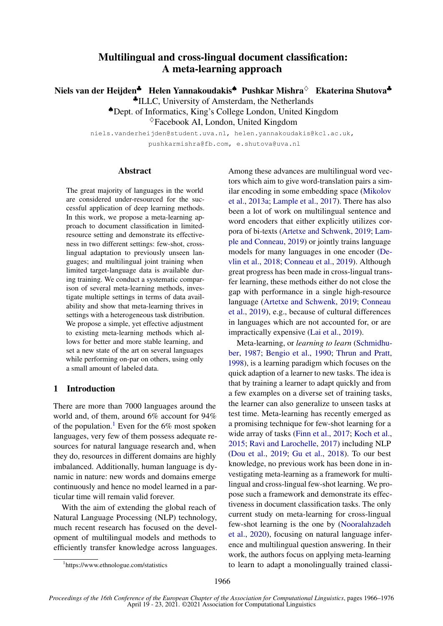# Multilingual and cross-lingual document classification: A meta-learning approach

Niels van der Heijden<sup>♣</sup> Helen Yannakoudakis<sup>♠</sup> Pushkar Mishra<sup>◇</sup> Ekaterina Shutova<sup>♣</sup>

♣ILLC, University of Amsterdam, the Netherlands

♠Dept. of Informatics, King's College London, United Kingdom

 $\Diamond$ Facebook AI, London, United Kingdom

niels.vanderheijden@student.uva.nl, helen.yannakoudakis@kcl.ac.uk, pushkarmishra@fb.com, e.shutova@uva.nl

## Abstract

The great majority of languages in the world are considered under-resourced for the successful application of deep learning methods. In this work, we propose a meta-learning approach to document classification in limitedresource setting and demonstrate its effectiveness in two different settings: few-shot, crosslingual adaptation to previously unseen languages; and multilingual joint training when limited target-language data is available during training. We conduct a systematic comparison of several meta-learning methods, investigate multiple settings in terms of data availability and show that meta-learning thrives in settings with a heterogeneous task distribution. We propose a simple, yet effective adjustment to existing meta-learning methods which allows for better and more stable learning, and set a new state of the art on several languages while performing on-par on others, using only a small amount of labeled data.

# 1 Introduction

There are more than 7000 languages around the world and, of them, around 6% account for 94% of the population.<sup>[1](#page-0-0)</sup> Even for the 6% most spoken languages, very few of them possess adequate resources for natural language research and, when they do, resources in different domains are highly imbalanced. Additionally, human language is dynamic in nature: new words and domains emerge continuously and hence no model learned in a particular time will remain valid forever.

With the aim of extending the global reach of Natural Language Processing (NLP) technology, much recent research has focused on the development of multilingual models and methods to efficiently transfer knowledge across languages. Among these advances are multilingual word vectors which aim to give word-translation pairs a similar encoding in some embedding space [\(Mikolov](#page-9-0) [et al.,](#page-9-0) [2013a;](#page-9-0) [Lample et al.,](#page-9-1) [2017\)](#page-9-1). There has also been a lot of work on multilingual sentence and word encoders that either explicitly utilizes corpora of bi-texts [\(Artetxe and Schwenk,](#page-8-0) [2019;](#page-8-0) [Lam](#page-9-2)[ple and Conneau,](#page-9-2) [2019\)](#page-9-2) or jointly trains language models for many languages in one encoder [\(De](#page-9-3)[vlin et al.,](#page-9-3) [2018;](#page-9-3) [Conneau et al.,](#page-9-4) [2019\)](#page-9-4). Although great progress has been made in cross-lingual transfer learning, these methods either do not close the gap with performance in a single high-resource language [\(Artetxe and Schwenk,](#page-8-0) [2019;](#page-8-0) [Conneau](#page-9-4) [et al.,](#page-9-4) [2019\)](#page-9-4), e.g., because of cultural differences in languages which are not accounted for, or are impractically expensive [\(Lai et al.,](#page-9-5) [2019\)](#page-9-5).

Meta-learning, or *learning to learn* [\(Schmidhu](#page-10-0)[ber,](#page-10-0) [1987;](#page-10-0) [Bengio et al.,](#page-9-6) [1990;](#page-9-6) [Thrun and Pratt,](#page-10-1) [1998\)](#page-10-1), is a learning paradigm which focuses on the quick adaption of a learner to new tasks. The idea is that by training a learner to adapt quickly and from a few examples on a diverse set of training tasks, the learner can also generalize to unseen tasks at test time. Meta-learning has recently emerged as a promising technique for few-shot learning for a wide array of tasks [\(Finn et al.,](#page-9-7) [2017;](#page-9-7) [Koch et al.,](#page-9-8) [2015;](#page-9-8) [Ravi and Larochelle,](#page-10-2) [2017\)](#page-10-2) including NLP [\(Dou et al.,](#page-9-9) [2019;](#page-9-9) [Gu et al.,](#page-9-10) [2018\)](#page-9-10). To our best knowledge, no previous work has been done in investigating meta-learning as a framework for multilingual and cross-lingual few-shot learning. We propose such a framework and demonstrate its effectiveness in document classification tasks. The only current study on meta-learning for cross-lingual few-shot learning is the one by [\(Nooralahzadeh](#page-9-11) [et al.,](#page-9-11) [2020\)](#page-9-11), focusing on natural language inference and multilingual question answering. In their work, the authors focus on applying meta-learning to learn to adapt a monolingually trained classi-

<span id="page-0-0"></span><sup>1</sup> https://www.ethnologue.com/statistics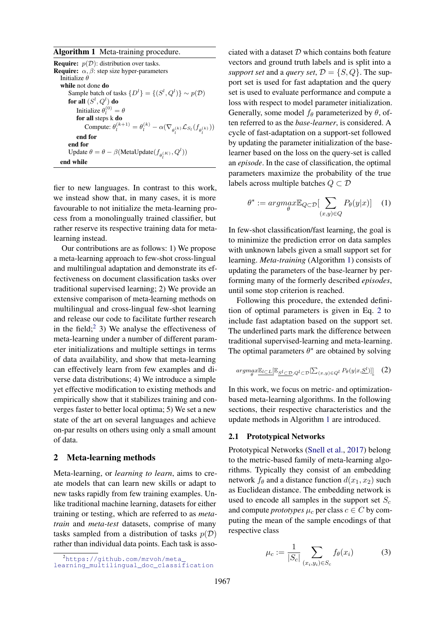<span id="page-1-1"></span>Algorithm 1 Meta-training procedure.

**Require:**  $p(D)$ : distribution over tasks. **Require:**  $\alpha$ ,  $\beta$ : step size hyper-parameters Initialize  $\theta$ while not done do Sample batch of tasks  $\{D^l\} = \{(S^l, Q^l)\} \sim p(\mathcal{D})$ for all  $(S^l,Q^l)$  do Initialize  $\theta_l^{(0)} = \theta$ for all steps k do Compute:  $\theta_l^{(k+1)} = \theta_l^{(k)} - \alpha (\nabla_{\theta_l^{(k)}} \mathcal{L}_{S_l}(f_{\theta_l^{(k)}}))$ end for end for Update  $\theta = \theta - \beta$  (MetaUpdate  $(f_{\theta_l^{(K)}}, Q^l)$ ) end while

fier to new languages. In contrast to this work, we instead show that, in many cases, it is more favourable to not initialize the meta-learning process from a monolingually trained classifier, but rather reserve its respective training data for metalearning instead.

Our contributions are as follows: 1) We propose a meta-learning approach to few-shot cross-lingual and multilingual adaptation and demonstrate its effectiveness on document classification tasks over traditional supervised learning; 2) We provide an extensive comparison of meta-learning methods on multilingual and cross-lingual few-shot learning and release our code to facilitate further research in the field;<sup>[2](#page-1-0)</sup> 3) We analyse the effectiveness of meta-learning under a number of different parameter initializations and multiple settings in terms of data availability, and show that meta-learning can effectively learn from few examples and diverse data distributions; 4) We introduce a simple yet effective modification to existing methods and empirically show that it stabilizes training and converges faster to better local optima; 5) We set a new state of the art on several languages and achieve on-par results on others using only a small amount of data.

#### 2 Meta-learning methods

Meta-learning, or *learning to learn*, aims to create models that can learn new skills or adapt to new tasks rapidly from few training examples. Unlike traditional machine learning, datasets for either training or testing, which are referred to as *metatrain* and *meta-test* datasets, comprise of many tasks sampled from a distribution of tasks  $p(\mathcal{D})$ rather than individual data points. Each task is associated with a dataset  $D$  which contains both feature vectors and ground truth labels and is split into a *support set* and a *query set*,  $\mathcal{D} = \{S, Q\}$ . The support set is used for fast adaptation and the query set is used to evaluate performance and compute a loss with respect to model parameter initialization. Generally, some model  $f_{\theta}$  parameterized by  $\theta$ , often referred to as the *base-learner*, is considered. A cycle of fast-adaptation on a support-set followed by updating the parameter initialization of the baselearner based on the loss on the query-set is called an *episode*. In the case of classification, the optimal parameters maximize the probability of the true labels across multiple batches  $Q \subset \mathcal{D}$ 

$$
\theta^* := \underset{\theta}{argmax} \mathbb{E}_{Q \subset \mathcal{D}}[\sum_{(x,y) \in Q} P_{\theta}(y|x)] \quad (1)
$$

In few-shot classification/fast learning, the goal is to minimize the prediction error on data samples with unknown labels given a small support set for learning. *Meta-training* (Algorithm [1\)](#page-1-1) consists of updating the parameters of the base-learner by performing many of the formerly described *episodes*, until some stop criterion is reached.

Following this procedure, the extended definition of optimal parameters is given in Eq. [2](#page-1-2) to include fast adaptation based on the support set. The underlined parts mark the difference between traditional supervised-learning and meta-learning. The optimal parameters  $\theta^*$  are obtained by solving

<span id="page-1-2"></span>
$$
arg\max_{\theta} \underbrace{\mathbb{E}_{l \subset L}[\mathbb{E}_{S^{l} \subset \mathcal{D}, Q^{l} \subset \mathcal{D}}[\sum_{(x, y) \in Q^{l}} P_{\theta}(y | x, \underline{S}^{l})]]}_{\theta}(2)
$$

In this work, we focus on metric- and optimizationbased meta-learning algorithms. In the following sections, their respective characteristics and the update methods in Algorithm [1](#page-1-1) are introduced.

### 2.1 Prototypical Networks

Prototypical Networks [\(Snell et al.,](#page-10-3) [2017\)](#page-10-3) belong to the metric-based family of meta-learning algorithms. Typically they consist of an embedding network  $f_{\theta}$  and a distance function  $d(x_1, x_2)$  such as Euclidean distance. The embedding network is used to encode all samples in the support set  $S_c$ and compute *prototypes*  $\mu_c$  per class  $c \in C$  by computing the mean of the sample encodings of that respective class

<span id="page-1-3"></span>
$$
\mu_c := \frac{1}{|S_c|} \sum_{(x_i, y_i) \in S_c} f_{\theta}(x_i) \tag{3}
$$

<span id="page-1-0"></span><sup>2</sup>[https://github.com/mrvoh/meta\\_](https://github.com/mrvoh/meta_learning_multilingual_doc_classification) [learning\\_multilingual\\_doc\\_classification](https://github.com/mrvoh/meta_learning_multilingual_doc_classification)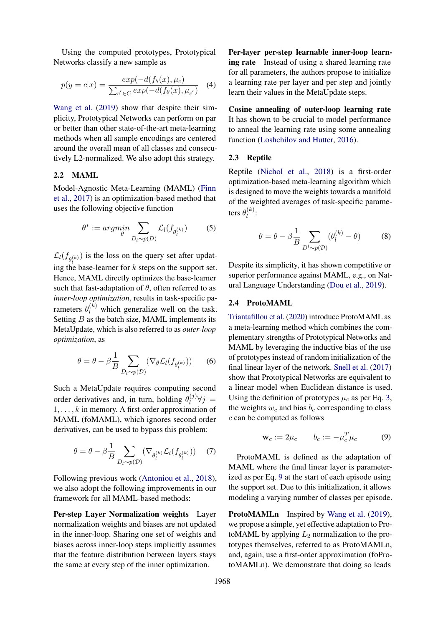Using the computed prototypes, Prototypical Networks classify a new sample as

$$
p(y = c|x) = \frac{exp(-d(f_{\theta}(x), \mu_c))}{\sum_{c' \in C} exp(-d(f_{\theta}(x), \mu_{c'})}
$$
 (4)

[Wang et al.](#page-10-4) [\(2019\)](#page-10-4) show that despite their simplicity, Prototypical Networks can perform on par or better than other state-of-the-art meta-learning methods when all sample encodings are centered around the overall mean of all classes and consecutively L2-normalized. We also adopt this strategy.

#### 2.2 MAML

Model-Agnostic Meta-Learning (MAML) [\(Finn](#page-9-7) [et al.,](#page-9-7) [2017\)](#page-9-7) is an optimization-based method that uses the following objective function

$$
\theta^* := \underset{\theta}{\operatorname{argmin}} \sum_{D_l \sim p(D)} \mathcal{L}_l(f_{\theta_l^{(k)}}) \tag{5}
$$

 $\mathcal{L}_l(f_{\theta_l^{(k)}})$  is the loss on the query set after updating the base-learner for k steps on the support set. Hence, MAML directly optimizes the base-learner such that fast-adaptation of  $\theta$ , often referred to as *inner-loop optimization*, results in task-specific parameters  $\theta_l^{(k)}$  which generalize well on the task. Setting  $B$  as the batch size, MAML implements its MetaUpdate, which is also referred to as *outer-loop optimization*, as

$$
\theta = \theta - \beta \frac{1}{B} \sum_{D_l \sim p(\mathcal{D})} (\nabla_{\theta} \mathcal{L}_l(f_{\theta_l^{(k)}})) \qquad (6)
$$

Such a MetaUpdate requires computing second order derivatives and, in turn, holding  $\theta_l^{(j)}$  $\bigvee_{l}^{(J)}\forall j =$  $1, \ldots, k$  in memory. A first-order approximation of MAML (foMAML), which ignores second order derivatives, can be used to bypass this problem:

$$
\theta = \theta - \beta \frac{1}{B} \sum_{D_l \sim p(\mathcal{D})} (\nabla_{\theta_l^{(k)}} \mathcal{L}_l(f_{\theta_l^{(k)}})) \quad (7)
$$

Following previous work [\(Antoniou et al.,](#page-8-1) [2018\)](#page-8-1), we also adopt the following improvements in our framework for all MAML-based methods:

Per-step Layer Normalization weights Layer normalization weights and biases are not updated in the inner-loop. Sharing one set of weights and biases across inner-loop steps implicitly assumes that the feature distribution between layers stays the same at every step of the inner optimization.

Per-layer per-step learnable inner-loop learning rate Instead of using a shared learning rate for all parameters, the authors propose to initialize a learning rate per layer and per step and jointly learn their values in the MetaUpdate steps.

Cosine annealing of outer-loop learning rate It has shown to be crucial to model performance to anneal the learning rate using some annealing function [\(Loshchilov and Hutter,](#page-9-12) [2016\)](#page-9-12).

#### 2.3 Reptile

Reptile [\(Nichol et al.,](#page-9-13) [2018\)](#page-9-13) is a first-order optimization-based meta-learning algorithm which is designed to move the weights towards a manifold of the weighted averages of task-specific parameters  $\theta_l^{(k)}$  $\binom{n}{l}$ :

$$
\theta = \theta - \beta \frac{1}{B} \sum_{D^l \sim p(\mathcal{D})} (\theta_l^{(k)} - \theta) \tag{8}
$$

Despite its simplicity, it has shown competitive or superior performance against MAML, e.g., on Natural Language Understanding [\(Dou et al.,](#page-9-9) [2019\)](#page-9-9).

#### 2.4 ProtoMAML

[Triantafillou et al.](#page-10-5) [\(2020\)](#page-10-5) introduce ProtoMAML as a meta-learning method which combines the complementary strengths of Prototypical Networks and MAML by leveraging the inductive bias of the use of prototypes instead of random initialization of the final linear layer of the network. [Snell et al.](#page-10-3) [\(2017\)](#page-10-3) show that Prototypical Networks are equivalent to a linear model when Euclidean distance is used. Using the definition of prototypes  $\mu_c$  as per Eq. [3,](#page-1-3) the weights  $w_c$  and bias  $b_c$  corresponding to class c can be computed as follows

<span id="page-2-0"></span>
$$
\mathbf{w}_c := 2\mu_c \qquad b_c := -\mu_c^T \mu_c \tag{9}
$$

ProtoMAML is defined as the adaptation of MAML where the final linear layer is parameterized as per Eq. [9](#page-2-0) at the start of each episode using the support set. Due to this initialization, it allows modeling a varying number of classes per episode.

ProtoMAMLn Inspired by [Wang et al.](#page-10-4) [\(2019\)](#page-10-4), we propose a simple, yet effective adaptation to ProtoMAML by applying  $L_2$  normalization to the prototypes themselves, referred to as ProtoMAMLn, and, again, use a first-order approximation (foProtoMAMLn). We demonstrate that doing so leads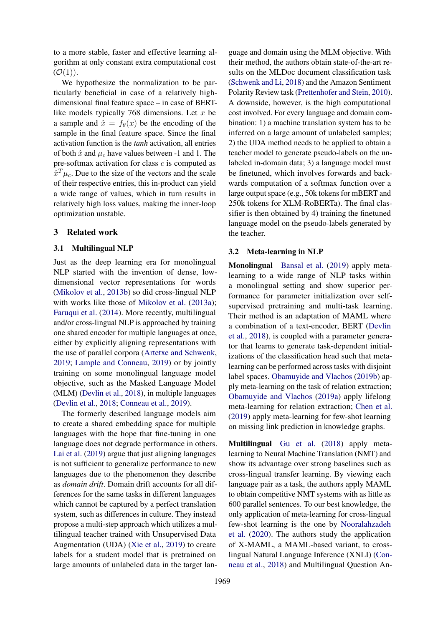to a more stable, faster and effective learning algorithm at only constant extra computational cost  $(\mathcal{O}(1)).$ 

We hypothesize the normalization to be particularly beneficial in case of a relatively highdimensional final feature space – in case of BERTlike models typically 768 dimensions. Let  $x$  be a sample and  $\hat{x} = f_{\theta}(x)$  be the encoding of the sample in the final feature space. Since the final activation function is the *tanh* activation, all entries of both  $\hat{x}$  and  $\mu_c$  have values between -1 and 1. The pre-softmax activation for class  $c$  is computed as  $\hat{x}^T \mu_c$ . Due to the size of the vectors and the scale of their respective entries, this in-product can yield a wide range of values, which in turn results in relatively high loss values, making the inner-loop optimization unstable.

# 3 Related work

### 3.1 Multilingual NLP

Just as the deep learning era for monolingual NLP started with the invention of dense, lowdimensional vector representations for words [\(Mikolov et al.,](#page-9-14) [2013b\)](#page-9-14) so did cross-lingual NLP with works like those of [Mikolov et al.](#page-9-0) [\(2013a\)](#page-9-0); [Faruqui et al.](#page-9-15) [\(2014\)](#page-9-15). More recently, multilingual and/or cross-lingual NLP is approached by training one shared encoder for multiple languages at once, either by explicitly aligning representations with the use of parallel corpora [\(Artetxe and Schwenk,](#page-8-0) [2019;](#page-8-0) [Lample and Conneau,](#page-9-2) [2019\)](#page-9-2) or by jointly training on some monolingual language model objective, such as the Masked Language Model (MLM) [\(Devlin et al.,](#page-9-3) [2018\)](#page-9-3), in multiple languages [\(Devlin et al.,](#page-9-3) [2018;](#page-9-3) [Conneau et al.,](#page-9-4) [2019\)](#page-9-4).

The formerly described language models aim to create a shared embedding space for multiple languages with the hope that fine-tuning in one language does not degrade performance in others. [Lai et al.](#page-9-5) [\(2019\)](#page-9-5) argue that just aligning languages is not sufficient to generalize performance to new languages due to the phenomenon they describe as *domain drift*. Domain drift accounts for all differences for the same tasks in different languages which cannot be captured by a perfect translation system, such as differences in culture. They instead propose a multi-step approach which utilizes a multilingual teacher trained with Unsupervised Data Augmentation (UDA) [\(Xie et al.,](#page-10-6) [2019\)](#page-10-6) to create labels for a student model that is pretrained on large amounts of unlabeled data in the target lan-

guage and domain using the MLM objective. With their method, the authors obtain state-of-the-art results on the MLDoc document classification task [\(Schwenk and Li,](#page-10-7) [2018\)](#page-10-7) and the Amazon Sentiment Polarity Review task [\(Prettenhofer and Stein,](#page-10-8) [2010\)](#page-10-8). A downside, however, is the high computational cost involved. For every language and domain combination: 1) a machine translation system has to be inferred on a large amount of unlabeled samples; 2) the UDA method needs to be applied to obtain a teacher model to generate pseudo-labels on the unlabeled in-domain data; 3) a language model must be finetuned, which involves forwards and backwards computation of a softmax function over a large output space (e.g., 50k tokens for mBERT and 250k tokens for XLM-RoBERTa). The final classifier is then obtained by 4) training the finetuned language model on the pseudo-labels generated by the teacher.

#### 3.2 Meta-learning in NLP

Monolingual [Bansal et al.](#page-9-16) [\(2019\)](#page-9-16) apply metalearning to a wide range of NLP tasks within a monolingual setting and show superior performance for parameter initialization over selfsupervised pretraining and multi-task learning. Their method is an adaptation of MAML where a combination of a text-encoder, BERT [\(Devlin](#page-9-3) [et al.,](#page-9-3) [2018\)](#page-9-3), is coupled with a parameter generator that learns to generate task-dependent initializations of the classification head such that metalearning can be performed across tasks with disjoint label spaces. [Obamuyide and Vlachos](#page-9-17) [\(2019b\)](#page-9-17) apply meta-learning on the task of relation extraction; [Obamuyide and Vlachos](#page-9-18) [\(2019a\)](#page-9-18) apply lifelong meta-learning for relation extraction; [Chen et al.](#page-9-19) [\(2019\)](#page-9-19) apply meta-learning for few-shot learning on missing link prediction in knowledge graphs.

Multilingual [Gu et al.](#page-9-10) [\(2018\)](#page-9-10) apply metalearning to Neural Machine Translation (NMT) and show its advantage over strong baselines such as cross-lingual transfer learning. By viewing each language pair as a task, the authors apply MAML to obtain competitive NMT systems with as little as 600 parallel sentences. To our best knowledge, the only application of meta-learning for cross-lingual few-shot learning is the one by [Nooralahzadeh](#page-9-11) [et al.](#page-9-11) [\(2020\)](#page-9-11). The authors study the application of X-MAML, a MAML-based variant, to crosslingual Natural Language Inference (XNLI) [\(Con](#page-9-20)[neau et al.,](#page-9-20) [2018\)](#page-9-20) and Multilingual Question An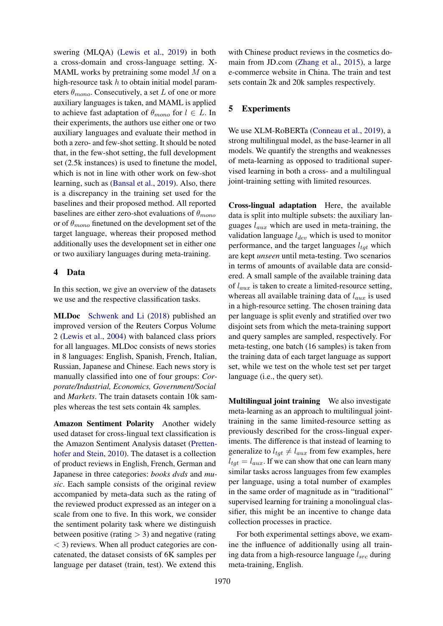swering (MLQA) [\(Lewis et al.,](#page-9-21) [2019\)](#page-9-21) in both a cross-domain and cross-language setting. X-MAML works by pretraining some model  $M$  on a high-resource task  $h$  to obtain initial model parameters  $\theta_{mono}$ . Consecutively, a set L of one or more auxiliary languages is taken, and MAML is applied to achieve fast adaptation of  $\theta_{mono}$  for  $l \in L$ . In their experiments, the authors use either one or two auxiliary languages and evaluate their method in both a zero- and few-shot setting. It should be noted that, in the few-shot setting, the full development set (2.5k instances) is used to finetune the model, which is not in line with other work on few-shot learning, such as [\(Bansal et al.,](#page-9-16) [2019\)](#page-9-16). Also, there is a discrepancy in the training set used for the baselines and their proposed method. All reported baselines are either zero-shot evaluations of  $\theta_{mono}$ or of  $\theta_{mono}$  finetuned on the development set of the target language, whereas their proposed method additionally uses the development set in either one or two auxiliary languages during meta-training.

### 4 Data

In this section, we give an overview of the datasets we use and the respective classification tasks.

MLDoc [Schwenk and Li](#page-10-7) [\(2018\)](#page-10-7) published an improved version of the Reuters Corpus Volume 2 [\(Lewis et al.,](#page-9-22) [2004\)](#page-9-22) with balanced class priors for all languages. MLDoc consists of news stories in 8 languages: English, Spanish, French, Italian, Russian, Japanese and Chinese. Each news story is manually classified into one of four groups: *Corporate/Industrial, Economics, Government/Social* and *Markets*. The train datasets contain 10k samples whereas the test sets contain 4k samples.

Amazon Sentiment Polarity Another widely used dataset for cross-lingual text classification is the Amazon Sentiment Analysis dataset [\(Pretten](#page-10-8)[hofer and Stein,](#page-10-8) [2010\)](#page-10-8). The dataset is a collection of product reviews in English, French, German and Japanese in three categories: *books dvds* and *music*. Each sample consists of the original review accompanied by meta-data such as the rating of the reviewed product expressed as an integer on a scale from one to five. In this work, we consider the sentiment polarity task where we distinguish between positive (rating  $>$  3) and negative (rating < 3) reviews. When all product categories are concatenated, the dataset consists of 6K samples per language per dataset (train, test). We extend this

with Chinese product reviews in the cosmetics domain from JD.com [\(Zhang et al.,](#page-10-9) [2015\)](#page-10-9), a large e-commerce website in China. The train and test sets contain 2k and 20k samples respectively.

# 5 Experiments

We use XLM-RoBERTa [\(Conneau et al.,](#page-9-4) [2019\)](#page-9-4), a strong multilingual model, as the base-learner in all models. We quantify the strengths and weaknesses of meta-learning as opposed to traditional supervised learning in both a cross- and a multilingual joint-training setting with limited resources.

Cross-lingual adaptation Here, the available data is split into multiple subsets: the auxiliary languages  $l_{aux}$  which are used in meta-training, the validation language  $l_{dev}$  which is used to monitor performance, and the target languages  $l_{tot}$  which are kept *unseen* until meta-testing. Two scenarios in terms of amounts of available data are considered. A small sample of the available training data of  $l_{aux}$  is taken to create a limited-resource setting, whereas all available training data of  $l_{aux}$  is used in a high-resource setting. The chosen training data per language is split evenly and stratified over two disjoint sets from which the meta-training support and query samples are sampled, respectively. For meta-testing, one batch (16 samples) is taken from the training data of each target language as support set, while we test on the whole test set per target language (i.e., the query set).

Multilingual joint training We also investigate meta-learning as an approach to multilingual jointtraining in the same limited-resource setting as previously described for the cross-lingual experiments. The difference is that instead of learning to generalize to  $l_{tgt} \neq l_{aux}$  from few examples, here  $l_{tot} = l_{aux}$ . If we can show that one can learn many similar tasks across languages from few examples per language, using a total number of examples in the same order of magnitude as in "traditional" supervised learning for training a monolingual classifier, this might be an incentive to change data collection processes in practice.

For both experimental settings above, we examine the influence of additionally using all training data from a high-resource language  $l_{src}$  during meta-training, English.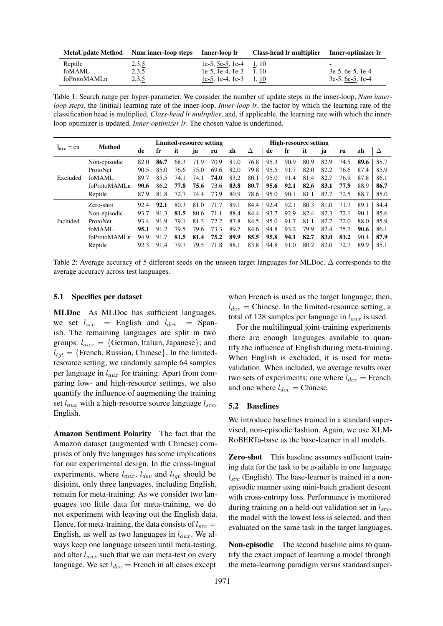<span id="page-5-0"></span>

| <b>MetaUpdate Method</b> | Num inner-loop steps | Inner-loop lr            | Class-head lr multiplier | Inner-optimizer lr       |
|--------------------------|----------------------|--------------------------|--------------------------|--------------------------|
| Reptile                  | 2,3,5                | 1e-5, 5e-5, 1e-4 $1, 10$ |                          | $\overline{\phantom{0}}$ |
| foMAML                   | 2,3,5                | 1e-5, 1e-4, 1e-3 $1, 10$ |                          | $3e-5$ , 6e-5, 1e-4      |
| foProtoMAMLn             | 2,3,5                | 1e-5, 1e-4, 1e-3 $1, 10$ |                          | $3e-5, 6e-5, 1e-4$       |

Table 1: Search range per hyper-parameter. We consider the number of update steps in the inner-loop, *Num innerloop steps*, the (initial) learning rate of the inner-loop, *Inner-loop lr*, the factor by which the learning rate of the classification head is multiplied, *Class-head lr multiplier*, and, if applicable, the learning rate with which the innerloop optimizer is updated, *Inner-optimizer lr*. The chosen value is underlined.

<span id="page-5-1"></span>

|                | Method                   |      | Limited-resource setting |      |      |      |      | <b>High-resource setting</b> |      |      |      |      |      |      |      |
|----------------|--------------------------|------|--------------------------|------|------|------|------|------------------------------|------|------|------|------|------|------|------|
| $I_{src} = en$ |                          | de   | fr                       | it   | ja   | ru   | zh   | Δ                            | de   | fr   | it   | ja   | ru   | zh   | Δ    |
|                | Non-episodic             | 82.0 | 86.7                     | 68.3 | 71.9 | 70.9 | 81.0 | 76.8                         | 95.3 | 90.9 | 80.9 | 82.9 | 74.5 | 89.6 | 85.7 |
|                | ProtoNet                 | 90.5 | 85.0                     | 76.6 | 75.0 | 69.6 | 82.0 | 79.8                         | 95.5 | 91.7 | 82.0 | 82.2 | 76.6 | 87.4 | 85.9 |
| Excluded       | foMAML                   | 89.7 | 85.5                     | 74.1 | 74.1 | 74.0 | 83.2 | 80.1                         | 95.0 | 91.4 | 81.4 | 82.7 | 76.9 | 87.8 | 86.1 |
|                | foProtoMAML <sub>n</sub> | 90.6 | 86.2                     | 77.8 | 75.6 | 73.6 | 83.8 | 80.7                         | 95.6 | 92.1 | 82.6 | 83.1 | 77.9 | 88.9 | 86.7 |
|                | Reptile                  | 87.9 | 81.8                     | 72.7 | 74.4 | 73.9 | 80.9 | 78.6                         | 95.0 | 90.1 | 81.1 | 82.7 | 72.5 | 88.7 | 85.0 |
|                | Zero-shot                | 92.4 | 92.1                     | 80.3 | 81.0 | 71.7 | 89.1 | 84.4                         | 92.4 | 92.1 | 80.3 | 81.0 | 71.7 | 89.1 | 84.4 |
|                | Non-episodic             | 93.7 | 91.3                     | 81.5 | 80.6 | 71.1 | 88.4 | 84.4                         | 93.7 | 92.9 | 82.4 | 82.3 | 72.1 | 90.1 | 85.6 |
| Included       | ProtoNet                 | 93.4 | 91.9                     | 79.1 | 81.3 | 72.2 | 87.8 | 84.5                         | 95.0 | 91.7 | 81.1 | 82.7 | 72.0 | 88.0 | 85.9 |
|                | foMAML                   | 95.1 | 91.2                     | 79.5 | 79.6 | 73.3 | 89.7 | 84.6                         | 94.8 | 93.2 | 79.9 | 82.4 | 75.7 | 90.6 | 86.1 |
|                | foProtoMAML <sub>n</sub> | 94.9 | 91.7                     | 81.5 | 81.4 | 75.2 | 89.9 | 85.5                         | 95.8 | 94.1 | 82.7 | 83.0 | 81.2 | 90.4 | 87.9 |
|                | Reptile                  | 92.3 | 91.4                     | 79.7 | 79.5 | 71.8 | 88.1 | 83.8                         | 94.8 | 91.0 | 80.2 | 82.0 | 72.7 | 89.9 | 85.1 |

Table 2: Average accuracy of 5 different seeds on the unseen target languages for MLDoc. ∆ corresponds to the average accuracy across test languages.

#### 5.1 Specifics per dataset

MLDoc As MLDoc has sufficient languages, we set  $l_{src}$  = English and  $l_{dev}$  = Spanish. The remaining languages are split in two groups:  $l_{aux} = \{German, Italian, Japanese\}$ ; and  $l_{tqt} = {$  [French, Russian, Chinese}. In the limitedresource setting, we randomly sample 64 samples per language in  $l_{aux}$  for training. Apart from comparing low- and high-resource settings, we also quantify the influence of augmenting the training set  $l_{aux}$  with a high-resource source language  $l_{src}$ , English.

Amazon Sentiment Polarity The fact that the Amazon dataset (augmented with Chinese) comprises of only five languages has some implications for our experimental design. In the cross-lingual experiments, where  $l_{aux}$ ,  $l_{dev}$  and  $l_{tgt}$  should be disjoint, only three languages, including English, remain for meta-training. As we consider two languages too little data for meta-training, we do not experiment with leaving out the English data. Hence, for meta-training, the data consists of  $l_{src} =$ English, as well as two languages in  $l_{aux}$ . We always keep one language unseen until meta-testing, and alter  $l_{aux}$  such that we can meta-test on every language. We set  $l_{dev}$  = French in all cases except when French is used as the target language; then,  $l_{dev}$  = Chinese. In the limited-resource setting, a total of 128 samples per language in  $l_{aux}$  is used.

For the multilingual joint-training experiments there are enough languages available to quantify the influence of English during meta-training. When English is excluded, it is used for metavalidation. When included, we average results over two sets of experiments: one where  $l_{dev}$  = French and one where  $l_{dev} =$  Chinese.

#### 5.2 Baselines

We introduce baselines trained in a standard supervised, non-episodic fashion. Again, we use XLM-RoBERTa-base as the base-learner in all models.

Zero-shot This baseline assumes sufficient training data for the task to be available in one language  $l_{src}$  (English). The base-learner is trained in a nonepisodic manner using mini-batch gradient descent with cross-entropy loss. Performance is monitored during training on a held-out validation set in  $l_{src}$ , the model with the lowest loss is selected, and then evaluated on the same task in the target languages.

Non-episodic The second baseline aims to quantify the exact impact of learning a model through the meta-learning paradigm versus standard super-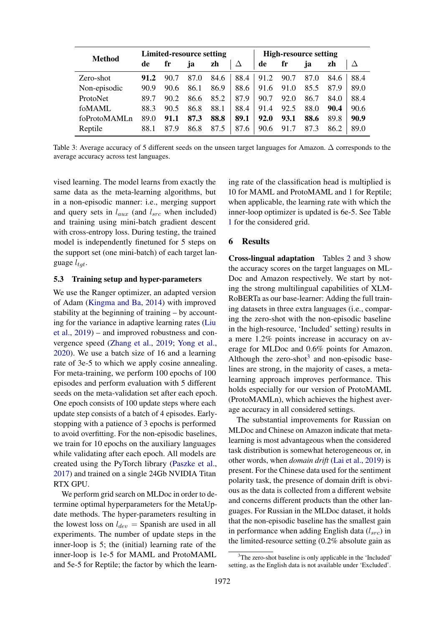<span id="page-6-0"></span>

| <b>Method</b>            |      |      | <b>Limited-resource setting</b> |      |      | <b>High-resource setting</b> |      |      |      |      |  |
|--------------------------|------|------|---------------------------------|------|------|------------------------------|------|------|------|------|--|
|                          | de   | fr   | ja.                             | zh   | Δ    | de                           | fr   | ja   | zh   | Δ    |  |
| Zero-shot                | 91.2 | 90.7 | 87.0                            | 84.6 | 88.4 | 91.2                         | 90.7 | 87.0 | 84.6 | 88.4 |  |
| Non-episodic             | 90.9 | 90.6 | 86.1                            | 86.9 | 88.6 | 91.6                         | 91.0 | 85.5 | 87.9 | 89.0 |  |
| ProtoNet                 | 89.7 | 90.2 | 86.6                            | 85.2 | 87.9 | 90.7                         | 92.0 | 86.7 | 84.0 | 88.4 |  |
| foMAML                   | 88.3 | 90.5 | 86.8                            | 88.1 | 88.4 | 91.4                         | 92.5 | 88.0 | 90.4 | 90.6 |  |
| foProtoMAML <sub>n</sub> | 89.0 | 91.1 | 87.3                            | 88.8 | 89.1 | 92.0                         | 93.1 | 88.6 | 89.8 | 90.9 |  |
| Reptile                  | 88.1 | 87.9 | 86.8                            | 87.5 | 87.6 | 90.6                         | 91.7 | 87.3 | 86.2 | 89.0 |  |

Table 3: Average accuracy of 5 different seeds on the unseen target languages for Amazon. ∆ corresponds to the average accuracy across test languages.

vised learning. The model learns from exactly the same data as the meta-learning algorithms, but in a non-episodic manner: i.e., merging support and query sets in  $l_{aux}$  (and  $l_{src}$  when included) and training using mini-batch gradient descent with cross-entropy loss. During testing, the trained model is independently finetuned for 5 steps on the support set (one mini-batch) of each target language  $l_{tgt}$ .

### 5.3 Training setup and hyper-parameters

We use the Ranger optimizer, an adapted version of Adam [\(Kingma and Ba,](#page-9-23) [2014\)](#page-9-23) with improved stability at the beginning of training – by accounting for the variance in adaptive learning rates [\(Liu](#page-9-24) [et al.,](#page-9-24) [2019\)](#page-9-24) – and improved robustness and convergence speed [\(Zhang et al.,](#page-10-10) [2019;](#page-10-10) [Yong et al.,](#page-10-11) [2020\)](#page-10-11). We use a batch size of 16 and a learning rate of 3e-5 to which we apply cosine annealing. For meta-training, we perform 100 epochs of 100 episodes and perform evaluation with 5 different seeds on the meta-validation set after each epoch. One epoch consists of 100 update steps where each update step consists of a batch of 4 episodes. Earlystopping with a patience of 3 epochs is performed to avoid overfitting. For the non-episodic baselines, we train for 10 epochs on the auxiliary languages while validating after each epoch. All models are created using the PyTorch library [\(Paszke et al.,](#page-10-12) [2017\)](#page-10-12) and trained on a single 24Gb NVIDIA Titan RTX GPU.

We perform grid search on MLDoc in order to determine optimal hyperparameters for the MetaUpdate methods. The hyper-parameters resulting in the lowest loss on  $l_{dev}$  = Spanish are used in all experiments. The number of update steps in the inner-loop is 5; the (initial) learning rate of the inner-loop is 1e-5 for MAML and ProtoMAML and 5e-5 for Reptile; the factor by which the learning rate of the classification head is multiplied is 10 for MAML and ProtoMAML and 1 for Reptile; when applicable, the learning rate with which the inner-loop optimizer is updated is 6e-5. See Table [1](#page-5-0) for the considered grid.

# 6 Results

Cross-lingual adaptation Tables [2](#page-5-1) and [3](#page-6-0) show the accuracy scores on the target languages on ML-Doc and Amazon respectively. We start by noting the strong multilingual capabilities of XLM-RoBERTa as our base-learner: Adding the full training datasets in three extra languages (i.e., comparing the zero-shot with the non-episodic baseline in the high-resource, 'Included' setting) results in a mere 1.2% points increase in accuracy on average for MLDoc and 0.6% points for Amazon. Although the zero-shot<sup>[3](#page-6-1)</sup> and non-episodic baselines are strong, in the majority of cases, a metalearning approach improves performance. This holds especially for our version of ProtoMAML (ProtoMAMLn), which achieves the highest average accuracy in all considered settings.

The substantial improvements for Russian on MLDoc and Chinese on Amazon indicate that metalearning is most advantageous when the considered task distribution is somewhat heterogeneous or, in other words, when *domain drift* [\(Lai et al.,](#page-9-5) [2019\)](#page-9-5) is present. For the Chinese data used for the sentiment polarity task, the presence of domain drift is obvious as the data is collected from a different website and concerns different products than the other languages. For Russian in the MLDoc dataset, it holds that the non-episodic baseline has the smallest gain in performance when adding English data  $(l_{src})$  in the limited-resource setting (0.2% absolute gain as

<span id="page-6-1"></span><sup>&</sup>lt;sup>3</sup>The zero-shot baseline is only applicable in the 'Included' setting, as the English data is not available under 'Excluded'.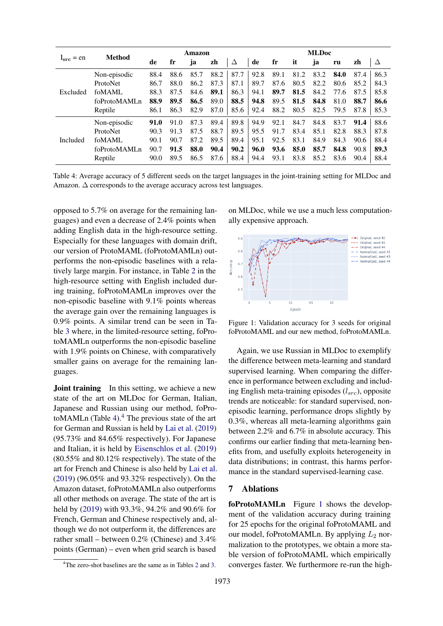<span id="page-7-0"></span>

|                 | Method                   | Amazon |      |      |      |      | <b>MLDoc</b> |      |      |      |      |      |      |
|-----------------|--------------------------|--------|------|------|------|------|--------------|------|------|------|------|------|------|
| $= en$<br>lsrc. |                          | de     | fr   | ja   | zh   | Δ    | de           | fr   | it   | ja   | ru   | zh   | Δ    |
|                 | Non-episodic             | 88.4   | 88.6 | 85.7 | 88.2 | 87.7 | 92.8         | 89.1 | 81.2 | 83.2 | 84.0 | 87.4 | 86.3 |
|                 | ProtoNet                 | 86.7   | 88.0 | 86.2 | 87.3 | 87.1 | 89.7         | 87.6 | 80.5 | 82.2 | 80.6 | 85.2 | 84.3 |
| Excluded        | foMAML                   | 88.3   | 87.5 | 84.6 | 89.1 | 86.3 | 94.1         | 89.7 | 81.5 | 84.2 | 77.6 | 87.5 | 85.8 |
|                 | foProtoMAML <sub>n</sub> | 88.9   | 89.5 | 86.5 | 89.0 | 88.5 | 94.8         | 89.5 | 81.5 | 84.8 | 81.0 | 88.7 | 86.6 |
|                 | Reptile                  | 86.1   | 86.3 | 82.9 | 87.0 | 85.6 | 92.4         | 88.2 | 80.5 | 82.5 | 79.5 | 87.8 | 85.3 |
|                 | Non-episodic             | 91.0   | 91.0 | 87.3 | 89.4 | 89.8 | 94.9         | 92.1 | 84.7 | 84.8 | 83.7 | 91.4 | 88.6 |
|                 | ProtoNet                 | 90.3   | 91.3 | 87.5 | 88.7 | 89.5 | 95.5         | 91.7 | 83.4 | 85.1 | 82.8 | 88.3 | 87.8 |
| Included        | foMAML                   | 90.1   | 90.7 | 87.2 | 89.5 | 89.4 | 95.1         | 92.5 | 83.1 | 84.9 | 84.3 | 90.6 | 88.4 |
|                 | foProtoMAMLn             | 90.7   | 91.5 | 88.0 | 90.4 | 90.2 | 96.0         | 93.6 | 85.0 | 85.7 | 84.8 | 90.8 | 89.3 |
|                 | Reptile                  | 90.0   | 89.5 | 86.5 | 87.6 | 88.4 | 94.4         | 93.1 | 83.8 | 85.2 | 83.6 | 90.4 | 88.4 |

Table 4: Average accuracy of 5 different seeds on the target languages in the joint-training setting for MLDoc and Amazon.  $\Delta$  corresponds to the average accuracy across test languages.

opposed to 5.7% on average for the remaining languages) and even a decrease of 2.4% points when adding English data in the high-resource setting. Especially for these languages with domain drift, our version of ProtoMAML (foProtoMAMLn) outperforms the non-episodic baselines with a relatively large margin. For instance, in Table [2](#page-5-1) in the high-resource setting with English included during training, foProtoMAMLn improves over the non-episodic baseline with 9.1% points whereas the average gain over the remaining languages is 0.9% points. A similar trend can be seen in Table [3](#page-6-0) where, in the limited-resource setting, foProtoMAMLn outperforms the non-episodic baseline with 1.9% points on Chinese, with comparatively smaller gains on average for the remaining languages.

**Joint training** In this setting, we achieve a new state of the art on MLDoc for German, Italian, Japanese and Russian using our method, foPro-toMAMLn (Table [4\)](#page-7-0). $4$  The previous state of the art for German and Russian is held by [Lai et al.](#page-9-5) [\(2019\)](#page-9-5) (95.73% and 84.65% respectively). For Japanese and Italian, it is held by [Eisenschlos et al.](#page-9-25) [\(2019\)](#page-9-25) (80.55% and 80.12% respectively). The state of the art for French and Chinese is also held by [Lai et al.](#page-9-5) [\(2019\)](#page-9-5) (96.05% and 93.32% respectively). On the Amazon dataset, foProtoMAMLn also outperforms all other methods on average. The state of the art is held by [\(2019\)](#page-9-5) with 93.3%, 94.2% and 90.6% for French, German and Chinese respectively and, although we do not outperform it, the differences are rather small – between 0.2% (Chinese) and 3.4% points (German) – even when grid search is based

on MLDoc, while we use a much less computationally expensive approach.

<span id="page-7-2"></span>

Figure 1: Validation accuracy for 3 seeds for original foProtoMAML and our new method, foProtoMAMLn.

Again, we use Russian in MLDoc to exemplify the difference between meta-learning and standard supervised learning. When comparing the difference in performance between excluding and including English meta-training episodes  $(l_{src})$ , opposite trends are noticeable: for standard supervised, nonepisodic learning, performance drops slightly by 0.3%, whereas all meta-learning algorithms gain between 2.2% and 6.7% in absolute accuracy. This confirms our earlier finding that meta-learning benefits from, and usefully exploits heterogeneity in data distributions; in contrast, this harms performance in the standard supervised-learning case.

# 7 Ablations

foProtoMAMLn Figure [1](#page-7-2) shows the development of the validation accuracy during training for 25 epochs for the original foProtoMAML and our model, foProtoMAMLn. By applying  $L_2$  normalization to the prototypes, we obtain a more stable version of foProtoMAML which empirically converges faster. We furthermore re-run the high-

<span id="page-7-1"></span><sup>&</sup>lt;sup>4</sup>The zero-shot baselines are the same as in Tables [2](#page-5-1) and [3.](#page-6-0)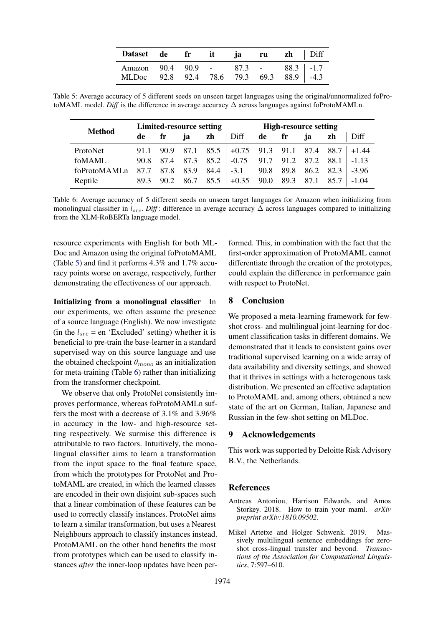| Dataset de fr it ja ru zh Diff                                                  |  |  |  |  |
|---------------------------------------------------------------------------------|--|--|--|--|
| Amazon 90.4 90.9 - 87.3 - 88.3 -1.7<br>MLDoc 92.8 92.4 78.6 79.3 69.3 88.9 -4.3 |  |  |  |  |

<span id="page-8-2"></span>Table 5: Average accuracy of 5 different seeds on unseen target languages using the original/unnormalized foProtoMAML model. *Diff* is the difference in average accuracy ∆ across languages against foProtoMAMLn.

<span id="page-8-3"></span>

| <b>Method</b> |    | <b>Limited-resource setting</b> |    |                                    |                                                                             | <b>High-resource setting</b> |                                           |    |    |      |  |
|---------------|----|---------------------------------|----|------------------------------------|-----------------------------------------------------------------------------|------------------------------|-------------------------------------------|----|----|------|--|
|               | de | fr                              | ja | zh                                 | Diff                                                                        | de fr                        |                                           | ja | zh | Diff |  |
| ProtoNet      |    |                                 |    |                                    | 91.1 90.9 87.1 85.5 + 0.75 91.3 91.1 87.4 88.7 + 1.44                       |                              |                                           |    |    |      |  |
| foMAML        |    |                                 |    |                                    | 90.8 87.4 87.3 85.2 $\vert$ -0.75 $\vert$ 91.7 91.2 87.2 88.1 $\vert$ -1.13 |                              |                                           |    |    |      |  |
| foProtoMAMLn  |    |                                 |    | $87.7$ $87.8$ $83.9$ $84.4$ $-3.1$ |                                                                             |                              | $\vert$ 90.8 89.8 86.2 82.3 $\vert$ -3.96 |    |    |      |  |
| Reptile       |    |                                 |    | 89.3 90.2 86.7 85.5                | $ +0.35 $ 90.0 89.3 87.1 85.7 $ -.04 $                                      |                              |                                           |    |    |      |  |

Table 6: Average accuracy of 5 different seeds on unseen target languages for Amazon when initializing from monolingual classifier in  $l_{src}$ . *Diff*: difference in average accuracy  $\Delta$  across languages compared to initializing from the XLM-RoBERTa language model.

resource experiments with English for both ML-Doc and Amazon using the original foProtoMAML (Table [5\)](#page-8-2) and find it performs 4.3% and 1.7% accuracy points worse on average, respectively, further demonstrating the effectiveness of our approach.

Initializing from a monolingual classifier In our experiments, we often assume the presence of a source language (English). We now investigate (in the  $l_{src}$  = en 'Excluded' setting) whether it is beneficial to pre-train the base-learner in a standard supervised way on this source language and use the obtained checkpoint  $\theta_{mono}$  as an initialization for meta-training (Table [6\)](#page-8-3) rather than initializing from the transformer checkpoint.

We observe that only ProtoNet consistently improves performance, whereas foProtoMAMLn suffers the most with a decrease of 3.1% and 3.96% in accuracy in the low- and high-resource setting respectively. We surmise this difference is attributable to two factors. Intuitively, the monolingual classifier aims to learn a transformation from the input space to the final feature space, from which the prototypes for ProtoNet and ProtoMAML are created, in which the learned classes are encoded in their own disjoint sub-spaces such that a linear combination of these features can be used to correctly classify instances. ProtoNet aims to learn a similar transformation, but uses a Nearest Neighbours approach to classify instances instead. ProtoMAML on the other hand benefits the most from prototypes which can be used to classify instances *after* the inner-loop updates have been per-

formed. This, in combination with the fact that the first-order approximation of ProtoMAML cannot differentiate through the creation of the prototypes, could explain the difference in performance gain with respect to ProtoNet.

## 8 Conclusion

We proposed a meta-learning framework for fewshot cross- and multilingual joint-learning for document classification tasks in different domains. We demonstrated that it leads to consistent gains over traditional supervised learning on a wide array of data availability and diversity settings, and showed that it thrives in settings with a heterogenous task distribution. We presented an effective adaptation to ProtoMAML and, among others, obtained a new state of the art on German, Italian, Japanese and Russian in the few-shot setting on MLDoc.

### 9 Acknowledgements

This work was supported by Deloitte Risk Advisory B.V., the Netherlands.

### References

- <span id="page-8-1"></span>Antreas Antoniou, Harrison Edwards, and Amos Storkey. 2018. How to train your maml. *arXiv preprint arXiv:1810.09502*.
- <span id="page-8-0"></span>Mikel Artetxe and Holger Schwenk. 2019. Massively multilingual sentence embeddings for zeroshot cross-lingual transfer and beyond. *Transactions of the Association for Computational Linguistics*, 7:597–610.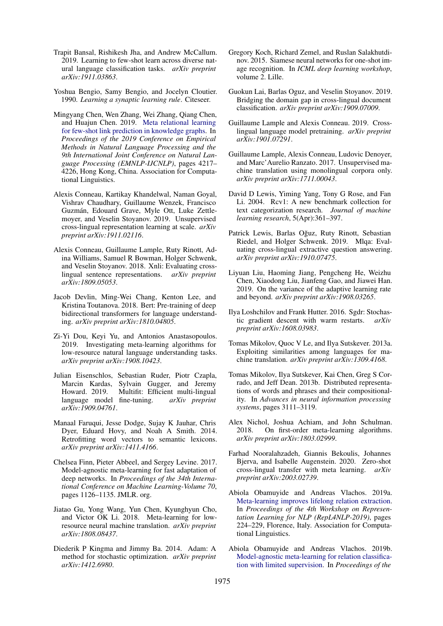- <span id="page-9-16"></span>Trapit Bansal, Rishikesh Jha, and Andrew McCallum. 2019. Learning to few-shot learn across diverse natural language classification tasks. *arXiv preprint arXiv:1911.03863*.
- <span id="page-9-6"></span>Yoshua Bengio, Samy Bengio, and Jocelyn Cloutier. 1990. *Learning a synaptic learning rule*. Citeseer.
- <span id="page-9-19"></span>Mingyang Chen, Wen Zhang, Wei Zhang, Qiang Chen, and Huajun Chen. 2019. [Meta relational learning](https://doi.org/10.18653/v1/D19-1431) [for few-shot link prediction in knowledge graphs.](https://doi.org/10.18653/v1/D19-1431) In *Proceedings of the 2019 Conference on Empirical Methods in Natural Language Processing and the 9th International Joint Conference on Natural Language Processing (EMNLP-IJCNLP)*, pages 4217– 4226, Hong Kong, China. Association for Computational Linguistics.
- <span id="page-9-4"></span>Alexis Conneau, Kartikay Khandelwal, Naman Goyal, Vishrav Chaudhary, Guillaume Wenzek, Francisco Guzman, Edouard Grave, Myle Ott, Luke Zettle- ´ moyer, and Veselin Stoyanov. 2019. Unsupervised cross-lingual representation learning at scale. *arXiv preprint arXiv:1911.02116*.
- <span id="page-9-20"></span>Alexis Conneau, Guillaume Lample, Ruty Rinott, Adina Williams, Samuel R Bowman, Holger Schwenk, and Veselin Stoyanov. 2018. Xnli: Evaluating crosslingual sentence representations. *arXiv preprint arXiv:1809.05053*.
- <span id="page-9-3"></span>Jacob Devlin, Ming-Wei Chang, Kenton Lee, and Kristina Toutanova. 2018. Bert: Pre-training of deep bidirectional transformers for language understanding. *arXiv preprint arXiv:1810.04805*.
- <span id="page-9-9"></span>Zi-Yi Dou, Keyi Yu, and Antonios Anastasopoulos. 2019. Investigating meta-learning algorithms for low-resource natural language understanding tasks. *arXiv preprint arXiv:1908.10423*.
- <span id="page-9-25"></span>Julian Eisenschlos, Sebastian Ruder, Piotr Czapla, Marcin Kardas, Sylvain Gugger, and Jeremy Howard. 2019. Multifit: Efficient multi-lingual language model fine-tuning. *arXiv preprint arXiv:1909.04761*.
- <span id="page-9-15"></span>Manaal Faruqui, Jesse Dodge, Sujay K Jauhar, Chris Dyer, Eduard Hovy, and Noah A Smith. 2014. Retrofitting word vectors to semantic lexicons. *arXiv preprint arXiv:1411.4166*.
- <span id="page-9-7"></span>Chelsea Finn, Pieter Abbeel, and Sergey Levine. 2017. Model-agnostic meta-learning for fast adaptation of deep networks. In *Proceedings of the 34th International Conference on Machine Learning-Volume 70*, pages 1126–1135. JMLR. org.
- <span id="page-9-10"></span>Jiatao Gu, Yong Wang, Yun Chen, Kyunghyun Cho, and Victor OK Li. 2018. Meta-learning for lowresource neural machine translation. *arXiv preprint arXiv:1808.08437*.
- <span id="page-9-23"></span>Diederik P Kingma and Jimmy Ba. 2014. Adam: A method for stochastic optimization. *arXiv preprint arXiv:1412.6980*.
- <span id="page-9-8"></span>Gregory Koch, Richard Zemel, and Ruslan Salakhutdinov. 2015. Siamese neural networks for one-shot image recognition. In *ICML deep learning workshop*, volume 2. Lille.
- <span id="page-9-5"></span>Guokun Lai, Barlas Oguz, and Veselin Stoyanov. 2019. Bridging the domain gap in cross-lingual document classification. *arXiv preprint arXiv:1909.07009*.
- <span id="page-9-2"></span>Guillaume Lample and Alexis Conneau. 2019. Crosslingual language model pretraining. *arXiv preprint arXiv:1901.07291*.
- <span id="page-9-1"></span>Guillaume Lample, Alexis Conneau, Ludovic Denoyer, and Marc'Aurelio Ranzato. 2017. Unsupervised machine translation using monolingual corpora only. *arXiv preprint arXiv:1711.00043*.
- <span id="page-9-22"></span>David D Lewis, Yiming Yang, Tony G Rose, and Fan Li. 2004. Rcv1: A new benchmark collection for text categorization research. *Journal of machine learning research*, 5(Apr):361–397.
- <span id="page-9-21"></span>Patrick Lewis, Barlas Oğuz, Ruty Rinott, Sebastian Riedel, and Holger Schwenk. 2019. Mlqa: Evaluating cross-lingual extractive question answering. *arXiv preprint arXiv:1910.07475*.
- <span id="page-9-24"></span>Liyuan Liu, Haoming Jiang, Pengcheng He, Weizhu Chen, Xiaodong Liu, Jianfeng Gao, and Jiawei Han. 2019. On the variance of the adaptive learning rate and beyond. *arXiv preprint arXiv:1908.03265*.
- <span id="page-9-12"></span>Ilya Loshchilov and Frank Hutter. 2016. Sgdr: Stochastic gradient descent with warm restarts. *arXiv preprint arXiv:1608.03983*.
- <span id="page-9-0"></span>Tomas Mikolov, Quoc V Le, and Ilya Sutskever. 2013a. Exploiting similarities among languages for machine translation. *arXiv preprint arXiv:1309.4168*.
- <span id="page-9-14"></span>Tomas Mikolov, Ilya Sutskever, Kai Chen, Greg S Corrado, and Jeff Dean. 2013b. Distributed representations of words and phrases and their compositionality. In *Advances in neural information processing systems*, pages 3111–3119.
- <span id="page-9-13"></span>Alex Nichol, Joshua Achiam, and John Schulman. 2018. On first-order meta-learning algorithms. *arXiv preprint arXiv:1803.02999*.
- <span id="page-9-11"></span>Farhad Nooralahzadeh, Giannis Bekoulis, Johannes Bjerva, and Isabelle Augenstein. 2020. Zero-shot cross-lingual transfer with meta learning. *arXiv preprint arXiv:2003.02739*.
- <span id="page-9-18"></span>Abiola Obamuyide and Andreas Vlachos. 2019a. [Meta-learning improves lifelong relation extraction.](https://doi.org/10.18653/v1/W19-4326) In *Proceedings of the 4th Workshop on Representation Learning for NLP (RepL4NLP-2019)*, pages 224–229, Florence, Italy. Association for Computational Linguistics.
- <span id="page-9-17"></span>Abiola Obamuyide and Andreas Vlachos. 2019b. [Model-agnostic meta-learning for relation classifica](https://doi.org/10.18653/v1/P19-1589)[tion with limited supervision.](https://doi.org/10.18653/v1/P19-1589) In *Proceedings of the*